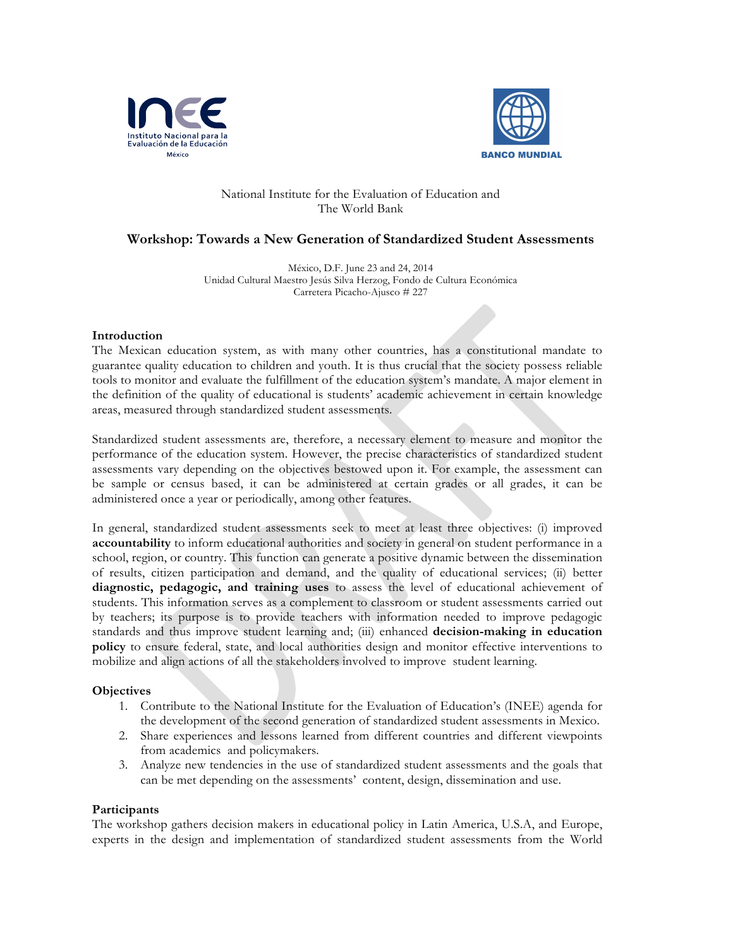



### National Institute for the Evaluation of Education and The World Bank

# **Workshop: Towards a New Generation of Standardized Student Assessments**

México, D.F. June 23 and 24, 2014 Unidad Cultural Maestro Jesús Silva Herzog, Fondo de Cultura Económica Carretera Picacho-Ajusco # 227

#### **Introduction**

The Mexican education system, as with many other countries, has a constitutional mandate to guarantee quality education to children and youth. It is thus crucial that the society possess reliable tools to monitor and evaluate the fulfillment of the education system's mandate. A major element in the definition of the quality of educational is students' academic achievement in certain knowledge areas, measured through standardized student assessments.

Standardized student assessments are, therefore, a necessary element to measure and monitor the performance of the education system. However, the precise characteristics of standardized student assessments vary depending on the objectives bestowed upon it. For example, the assessment can be sample or census based, it can be administered at certain grades or all grades, it can be administered once a year or periodically, among other features.

In general, standardized student assessments seek to meet at least three objectives: (i) improved **accountability** to inform educational authorities and society in general on student performance in a school, region, or country. This function can generate a positive dynamic between the dissemination of results, citizen participation and demand, and the quality of educational services; (ii) better **diagnostic, pedagogic, and training uses** to assess the level of educational achievement of students. This information serves as a complement to classroom or student assessments carried out by teachers; its purpose is to provide teachers with information needed to improve pedagogic standards and thus improve student learning and; (iii) enhanced **decision-making in education policy** to ensure federal, state, and local authorities design and monitor effective interventions to mobilize and align actions of all the stakeholders involved to improve student learning.

#### **Objectives**

- 1. Contribute to the National Institute for the Evaluation of Education's (INEE) agenda for the development of the second generation of standardized student assessments in Mexico.
- 2. Share experiences and lessons learned from different countries and different viewpoints from academics and policymakers.
- 3. Analyze new tendencies in the use of standardized student assessments and the goals that can be met depending on the assessments' content, design, dissemination and use.

#### **Participants**

The workshop gathers decision makers in educational policy in Latin America, U.S.A, and Europe, experts in the design and implementation of standardized student assessments from the World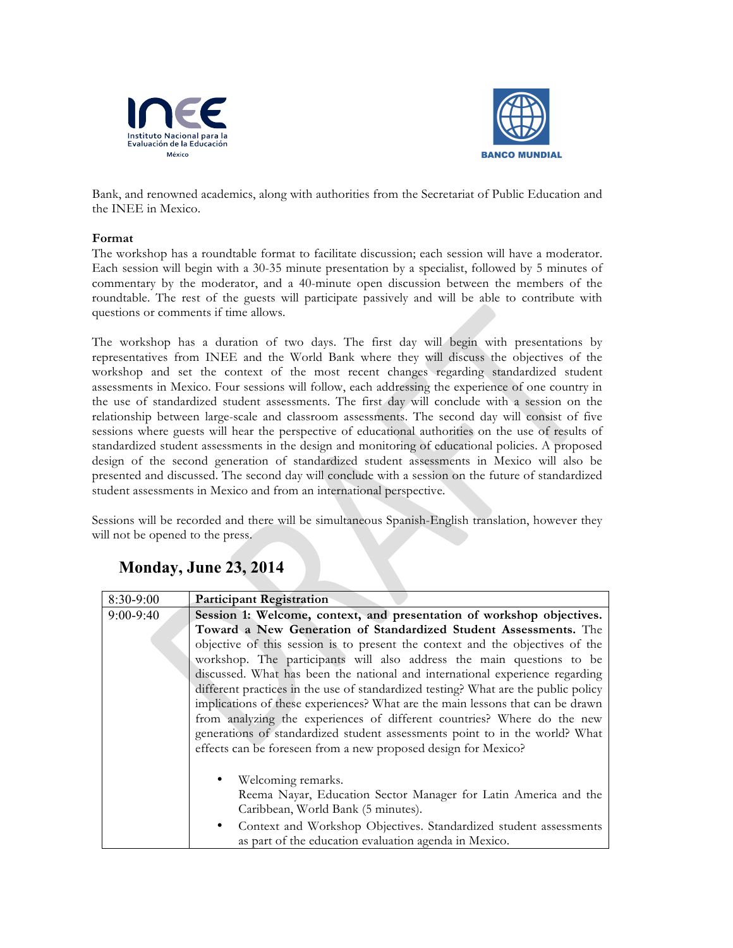



Bank, and renowned academics, along with authorities from the Secretariat of Public Education and the INEE in Mexico.

### **Format**

The workshop has a roundtable format to facilitate discussion; each session will have a moderator. Each session will begin with a 30-35 minute presentation by a specialist, followed by 5 minutes of commentary by the moderator, and a 40-minute open discussion between the members of the roundtable. The rest of the guests will participate passively and will be able to contribute with questions or comments if time allows.

The workshop has a duration of two days. The first day will begin with presentations by representatives from INEE and the World Bank where they will discuss the objectives of the workshop and set the context of the most recent changes regarding standardized student assessments in Mexico. Four sessions will follow, each addressing the experience of one country in the use of standardized student assessments. The first day will conclude with a session on the relationship between large-scale and classroom assessments. The second day will consist of five sessions where guests will hear the perspective of educational authorities on the use of results of standardized student assessments in the design and monitoring of educational policies. A proposed design of the second generation of standardized student assessments in Mexico will also be presented and discussed. The second day will conclude with a session on the future of standardized student assessments in Mexico and from an international perspective.

Sessions will be recorded and there will be simultaneous Spanish-English translation, however they will not be opened to the press.

| 8:30-9:00   | <b>Participant Registration</b>                                                    |
|-------------|------------------------------------------------------------------------------------|
| $9:00-9:40$ | Session 1: Welcome, context, and presentation of workshop objectives.              |
|             | Toward a New Generation of Standardized Student Assessments. The                   |
|             | objective of this session is to present the context and the objectives of the      |
|             | workshop. The participants will also address the main questions to be              |
|             | discussed. What has been the national and international experience regarding       |
|             | different practices in the use of standardized testing? What are the public policy |
|             | implications of these experiences? What are the main lessons that can be drawn     |
|             | from analyzing the experiences of different countries? Where do the new            |
|             | generations of standardized student assessments point to in the world? What        |
|             | effects can be foreseen from a new proposed design for Mexico?                     |
|             |                                                                                    |
|             | Welcoming remarks.                                                                 |
|             | Reema Nayar, Education Sector Manager for Latin America and the                    |
|             | Caribbean, World Bank (5 minutes).                                                 |
|             | Context and Workshop Objectives. Standardized student assessments<br>$\bullet$     |
|             | as part of the education evaluation agenda in Mexico.                              |

# **Monday, June 23, 2014**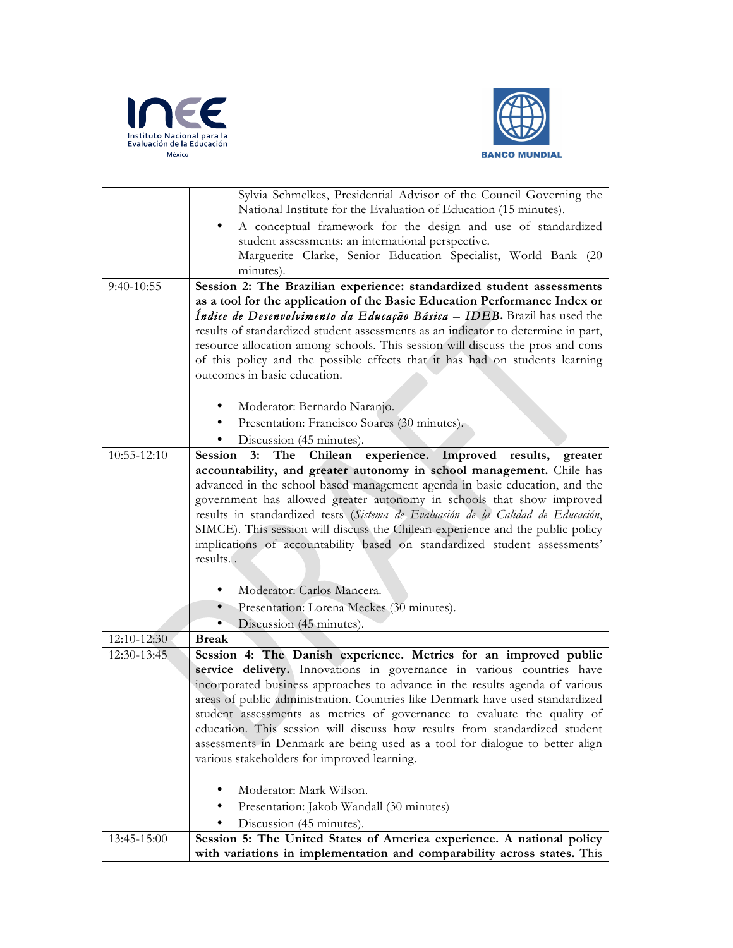



|              | Sylvia Schmelkes, Presidential Advisor of the Council Governing the               |
|--------------|-----------------------------------------------------------------------------------|
|              | National Institute for the Evaluation of Education (15 minutes).                  |
|              | A conceptual framework for the design and use of standardized                     |
|              | student assessments: an international perspective.                                |
|              | Marguerite Clarke, Senior Education Specialist, World Bank (20                    |
|              | minutes).                                                                         |
| $9:40-10:55$ | Session 2: The Brazilian experience: standardized student assessments             |
|              | as a tool for the application of the Basic Education Performance Index or         |
|              | Índice de Desenvolvimento da Educação Básica - IDEB. Brazil has used the          |
|              | results of standardized student assessments as an indicator to determine in part, |
|              | resource allocation among schools. This session will discuss the pros and cons    |
|              | of this policy and the possible effects that it has had on students learning      |
|              | outcomes in basic education.                                                      |
|              |                                                                                   |
|              | Moderator: Bernardo Naranjo.                                                      |
|              | Presentation: Francisco Soares (30 minutes).<br>٠                                 |
|              | Discussion (45 minutes).                                                          |
| 10:55-12:10  | Chilean experience. Improved results, greater<br>Session<br>$3:$ The              |
|              | accountability, and greater autonomy in school management. Chile has              |
|              | advanced in the school based management agenda in basic education, and the        |
|              | government has allowed greater autonomy in schools that show improved             |
|              | results in standardized tests (Sistema de Evaluación de la Calidad de Educación,  |
|              | SIMCE). This session will discuss the Chilean experience and the public policy    |
|              | implications of accountability based on standardized student assessments'         |
|              | results                                                                           |
|              |                                                                                   |
|              | Moderator: Carlos Mancera.                                                        |
|              | Presentation: Lorena Meckes (30 minutes).<br>$\bullet$                            |
|              | Discussion (45 minutes).<br>$\bullet$                                             |
| 12:10-12:30  | <b>Break</b>                                                                      |
| 12:30-13:45  | Session 4: The Danish experience. Metrics for an improved public                  |
|              | service delivery. Innovations in governance in various countries have             |
|              | incorporated business approaches to advance in the results agenda of various      |
|              | areas of public administration. Countries like Denmark have used standardized     |
|              | student assessments as metrics of governance to evaluate the quality of           |
|              | education. This session will discuss how results from standardized student        |
|              | assessments in Denmark are being used as a tool for dialogue to better align      |
|              | various stakeholders for improved learning.                                       |
|              |                                                                                   |
|              | Moderator: Mark Wilson.                                                           |
|              | Presentation: Jakob Wandall (30 minutes)                                          |
|              | Discussion (45 minutes).                                                          |
| 13:45-15:00  | Session 5: The United States of America experience. A national policy             |
|              | with variations in implementation and comparability across states. This           |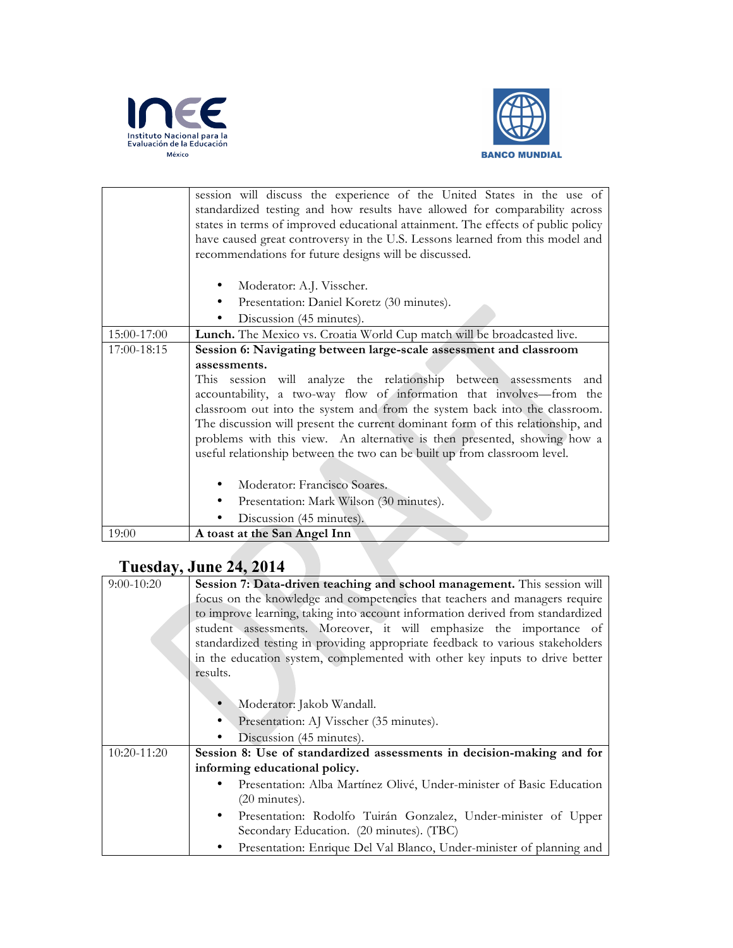



|             | session will discuss the experience of the United States in the use of<br>standardized testing and how results have allowed for comparability across<br>states in terms of improved educational attainment. The effects of public policy<br>have caused great controversy in the U.S. Lessons learned from this model and<br>recommendations for future designs will be discussed. |
|-------------|------------------------------------------------------------------------------------------------------------------------------------------------------------------------------------------------------------------------------------------------------------------------------------------------------------------------------------------------------------------------------------|
|             | Moderator: A.J. Visscher.<br>Presentation: Daniel Koretz (30 minutes).<br>٠<br>Discussion (45 minutes).                                                                                                                                                                                                                                                                            |
| 15:00-17:00 | Lunch. The Mexico vs. Croatia World Cup match will be broadcasted live.                                                                                                                                                                                                                                                                                                            |
| 17:00-18:15 | Session 6: Navigating between large-scale assessment and classroom                                                                                                                                                                                                                                                                                                                 |
|             | assessments.                                                                                                                                                                                                                                                                                                                                                                       |
|             | session will analyze the relationship between assessments and<br>This.                                                                                                                                                                                                                                                                                                             |
|             | accountability, a two-way flow of information that involves-from the                                                                                                                                                                                                                                                                                                               |
|             | classroom out into the system and from the system back into the classroom.                                                                                                                                                                                                                                                                                                         |
|             | The discussion will present the current dominant form of this relationship, and                                                                                                                                                                                                                                                                                                    |
|             | problems with this view. An alternative is then presented, showing how a                                                                                                                                                                                                                                                                                                           |
|             | useful relationship between the two can be built up from classroom level.                                                                                                                                                                                                                                                                                                          |
|             |                                                                                                                                                                                                                                                                                                                                                                                    |
|             | Moderator: Francisco Soares.                                                                                                                                                                                                                                                                                                                                                       |
|             | Presentation: Mark Wilson (30 minutes).                                                                                                                                                                                                                                                                                                                                            |
|             | Discussion (45 minutes).                                                                                                                                                                                                                                                                                                                                                           |
| 19:00       | A toast at the San Angel Inn                                                                                                                                                                                                                                                                                                                                                       |

# **Tuesday, June 24, 2014**

| $9:00 - 10:20$ | Session 7: Data-driven teaching and school management. This session will                        |
|----------------|-------------------------------------------------------------------------------------------------|
|                | focus on the knowledge and competencies that teachers and managers require                      |
|                | to improve learning, taking into account information derived from standardized                  |
|                | student assessments. Moreover, it will emphasize the importance of                              |
|                | standardized testing in providing appropriate feedback to various stakeholders                  |
|                | in the education system, complemented with other key inputs to drive better                     |
|                | results.                                                                                        |
|                |                                                                                                 |
|                | Moderator: Jakob Wandall.                                                                       |
|                | Presentation: AJ Visscher (35 minutes).                                                         |
|                | Discussion (45 minutes).                                                                        |
| 10:20-11:20    | Session 8: Use of standardized assessments in decision-making and for                           |
|                | informing educational policy.                                                                   |
|                | Presentation: Alba Martínez Olivé, Under-minister of Basic Education<br>$(20 \text{ minutes}).$ |
|                |                                                                                                 |
|                | Presentation: Rodolfo Tuirán Gonzalez, Under-minister of Upper<br>$\bullet$                     |
|                | Secondary Education. (20 minutes). (TBC)                                                        |
|                | Presentation: Enrique Del Val Blanco, Under-minister of planning and                            |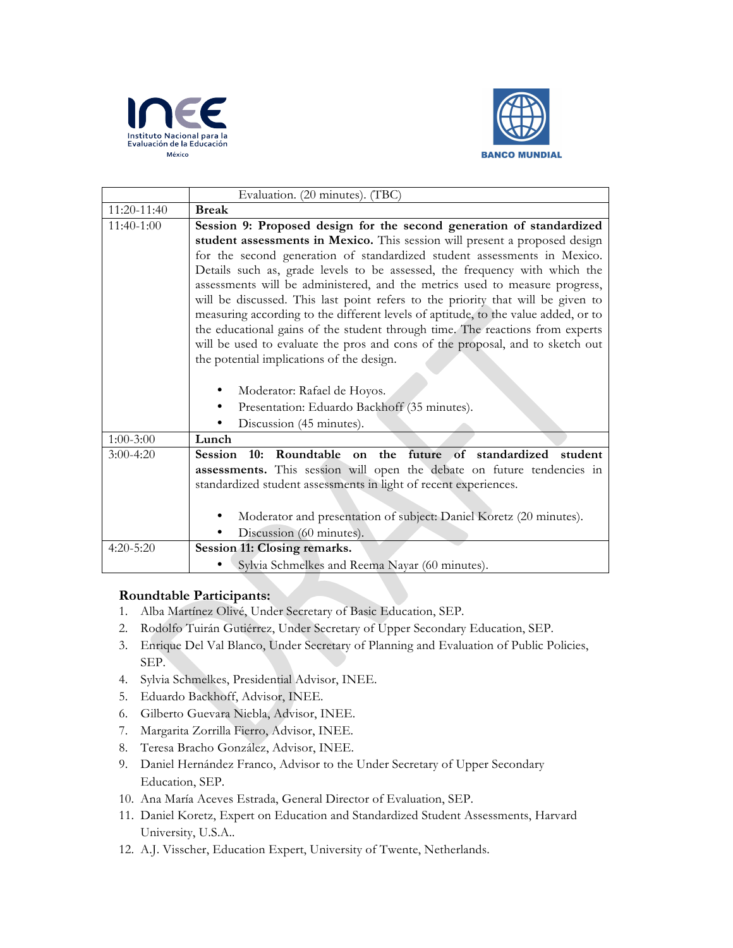



|               | Evaluation. (20 minutes). (TBC)                                                    |
|---------------|------------------------------------------------------------------------------------|
| 11:20-11:40   | <b>Break</b>                                                                       |
| 11:40-1:00    | Session 9: Proposed design for the second generation of standardized               |
|               | student assessments in Mexico. This session will present a proposed design         |
|               | for the second generation of standardized student assessments in Mexico.           |
|               | Details such as, grade levels to be assessed, the frequency with which the         |
|               | assessments will be administered, and the metrics used to measure progress,        |
|               | will be discussed. This last point refers to the priority that will be given to    |
|               | measuring according to the different levels of aptitude, to the value added, or to |
|               | the educational gains of the student through time. The reactions from experts      |
|               | will be used to evaluate the pros and cons of the proposal, and to sketch out      |
|               | the potential implications of the design.                                          |
|               |                                                                                    |
|               | Moderator: Rafael de Hoyos.                                                        |
|               | Presentation: Eduardo Backhoff (35 minutes).                                       |
|               | Discussion (45 minutes).                                                           |
| $1:00-3:00$   | Lunch                                                                              |
| $3:00-4:20$   | Roundtable<br>on the future of standardized student<br><b>Session</b><br>10:       |
|               | assessments. This session will open the debate on future tendencies in             |
|               | standardized student assessments in light of recent experiences.                   |
|               |                                                                                    |
|               | Moderator and presentation of subject: Daniel Koretz (20 minutes).                 |
|               | Discussion (60 minutes).                                                           |
| $4:20 - 5:20$ | Session 11: Closing remarks.                                                       |
|               | Sylvia Schmelkes and Reema Nayar (60 minutes).                                     |

## **Roundtable Participants:**

- 1. Alba Martínez Olivé, Under Secretary of Basic Education, SEP.
- 2. Rodolfo Tuirán Gutiérrez, Under Secretary of Upper Secondary Education, SEP.
- 3. Enrique Del Val Blanco, Under Secretary of Planning and Evaluation of Public Policies, SEP.
- 4. Sylvia Schmelkes, Presidential Advisor, INEE.
- 5. Eduardo Backhoff, Advisor, INEE.
- 6. Gilberto Guevara Niebla, Advisor, INEE.
- 7. Margarita Zorrilla Fierro, Advisor, INEE.
- 8. Teresa Bracho González, Advisor, INEE.
- 9. Daniel Hernández Franco, Advisor to the Under Secretary of Upper Secondary Education, SEP.
- 10. Ana María Aceves Estrada, General Director of Evaluation, SEP.
- 11. Daniel Koretz, Expert on Education and Standardized Student Assessments, Harvard University, U.S.A..
- 12. A.J. Visscher, Education Expert, University of Twente, Netherlands.